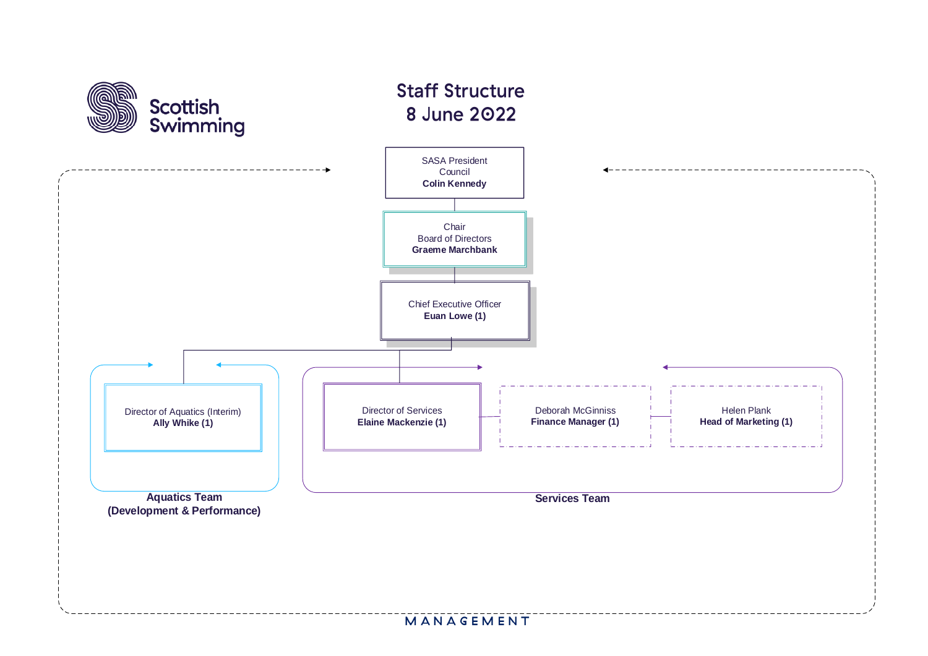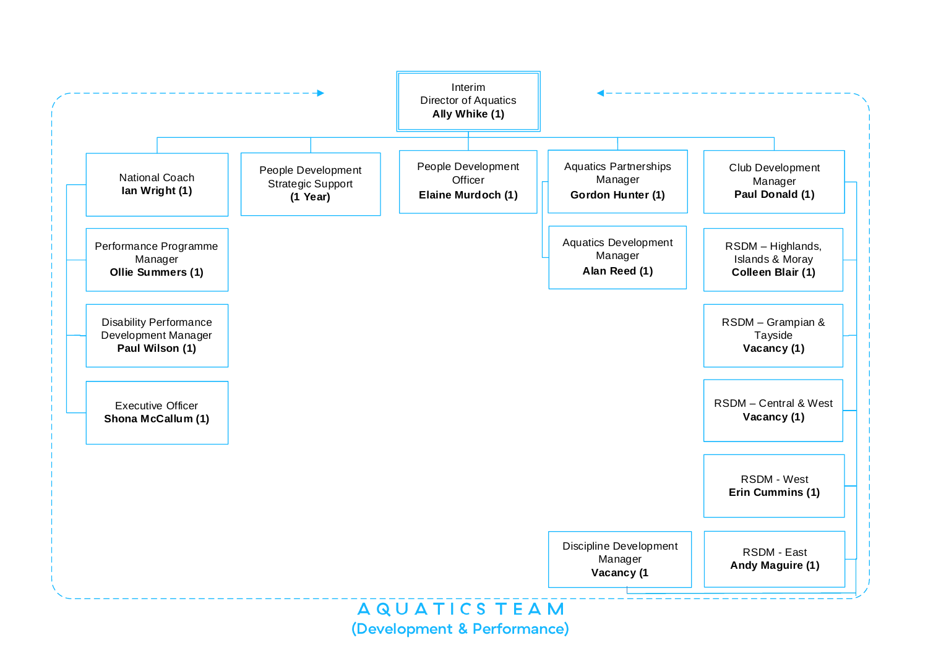

(Development & Performance)